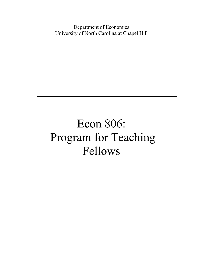Department of Economics University of North Carolina at Chapel Hill

## Econ 806: Program for Teaching Fellows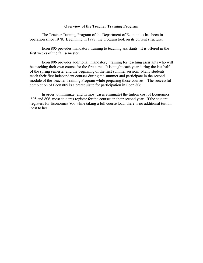## **Overview of the Teacher Training Program**

The Teacher Training Program of the Department of Economics has been in operation since 1978. Beginning in 1997, the program took on its current structure.

Econ 805 provides mandatory training to teaching assistants. It is offered in the first weeks of the fall semester.

Econ 806 provides additional, mandatory, training for teaching assistants who will be teaching their own course for the first time. It is taught each year during the last half of the spring semester and the beginning of the first summer session. Many students teach their first independent courses during the summer and participate in the second module of the Teacher Training Program while preparing those courses. The successful completion of Econ 805 is a prerequisite for participation in Econ 806

In order to minimize (and in most cases eliminate) the tuition cost of Economics 805 and 806, most students register for the courses in their second year. If the student registers for Economics 806 while taking a full course load, there is no additional tuition cost to her.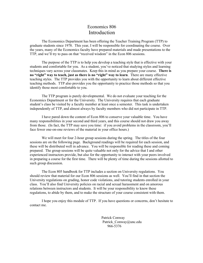## Economics 806 **Introduction**

The Economics Department has been offering the Teacher Training Program (TTP) to graduate students since 1978. This year, I will be responsible for coordinating the course. Over the years, many of the Economics faculty have prepared materials and made presentations to the TTP, and we'll try to pass on that "received wisdom" in the Econ 806 sessions.

The purpose of the TTP is to help you develop a teaching style that is effective with your students and comfortable for you. As a student, you've noticed that studying styles and learning techniques vary across your classmates. Keep this in mind as you prepare your course. **There is no "right" way to teach, just as there is no "right" way to learn**. There are many effective teaching styles. The TTP provides you with the opportunity to learn about different effective teaching methods. TTP also provides you the opportunity to practice those methods so that you identify those most comfortable to you.

The TTP program is purely developmental. We do not evaluate your teaching for the Economics Department or for the University. The University requires that each graduate student's class be visited by a faculty member at least once a semester. This task is undertaken independently of TTP, and almost always by faculty members who did not participate in TTP.

I have pared down the content of Econ 806 to conserve your valuable time. You have many responsibilities in your second and third years, and this course should not draw you away from those. (In fact, the TTP may save you time: if you avoid problems in the classroom, you'll face fewer one-on-one reviews of the material in your office hours.)

We will meet for four 2-hour group sessions during the spring. The titles of the four sessions are on the following page. Background readings will be required for each session, and these will be distributed well in advance. You will be responsible for reading these and coming prepared. The group sessions will be quite valuable not only for the advice that I and other experienced instructors provide, but also for the opportunity to interact with your peers involved in preparing a course for the first time. There will be plenty of time during the sessions allotted to such group discussion.

The Econ 805 handbook for TTP includes a section on University regulations. You should review that material for our Econ 806 sessions as well. You'll find in that section the University regulations on grading, honor code violations, and tutoring students enrolled in your class. You'll also find University policies on racial and sexual harassment and on amorous relations between instructors and students. It will be your responsibility to know these regulations, to abide by them, and to make the structure of your course consistent with them.

I hope you enjoy this module of TTP. If you have questions or concerns, don't hesitate to contact me.

> Patrick Conway Patrick Conway@unc.edu 966-5376